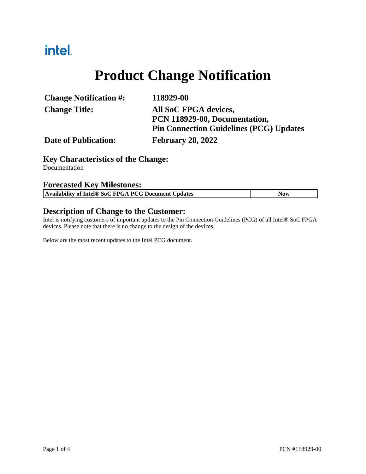# intel.

# **Product Change Notification**

| <b>Change Notification #:</b> | 118929-00                                      |
|-------------------------------|------------------------------------------------|
| <b>Change Title:</b>          | All SoC FPGA devices,                          |
|                               | PCN 118929-00, Documentation,                  |
|                               | <b>Pin Connection Guidelines (PCG) Updates</b> |
| <b>Date of Publication:</b>   | <b>February 28, 2022</b>                       |

## **Key Characteristics of the Change:**

Documentation

#### **Forecasted Key Milestones:**

| Availability of Intel® SoC FPGA PCG Document Updates | Now |
|------------------------------------------------------|-----|

#### **Description of Change to the Customer:**

Intel is notifying customers of important updates to the Pin Connection Guidelines (PCG) of all Intel® SoC FPGA devices. Please note that there is no change to the design of the devices.

Below are the most recent updates to the Intel PCG document.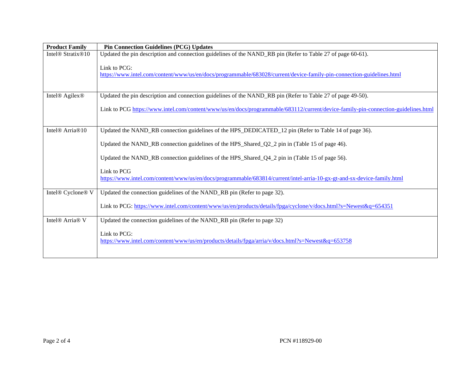| <b>Product Family</b>                     | <b>Pin Connection Guidelines (PCG) Updates</b>                                                                                    |
|-------------------------------------------|-----------------------------------------------------------------------------------------------------------------------------------|
| Intel <sup>®</sup> Stratix <sup>®10</sup> | Updated the pin description and connection guidelines of the NAND_RB pin (Refer to Table 27 of page 60-61).                       |
|                                           | Link to PCG:                                                                                                                      |
|                                           | https://www.intel.com/content/www/us/en/docs/programmable/683028/current/device-family-pin-connection-guidelines.html             |
|                                           |                                                                                                                                   |
| Intel <sup>®</sup> Agilex <sup>®</sup>    | Updated the pin description and connection guidelines of the NAND_RB pin (Refer to Table 27 of page 49-50).                       |
|                                           | Link to PCG https://www.intel.com/content/www/us/en/docs/programmable/683112/current/device-family-pin-connection-guidelines.html |
|                                           |                                                                                                                                   |
| Intel <sup>®</sup> Arria <sup>®10</sup>   | Updated the NAND_RB connection guidelines of the HPS_DEDICATED_12 pin (Refer to Table 14 of page 36).                             |
|                                           | Updated the NAND_RB connection guidelines of the HPS_Shared_Q2_2 pin in (Table 15 of page 46).                                    |
|                                           | Updated the NAND_RB connection guidelines of the HPS_Shared_Q4_2 pin in (Table 15 of page 56).                                    |
|                                           | Link to PCG                                                                                                                       |
|                                           | https://www.intel.com/content/www/us/en/docs/programmable/683814/current/intel-arria-10-gx-gt-and-sx-device-family.html           |
| Intel® Cyclone® V                         | Updated the connection guidelines of the NAND_RB pin (Refer to page 32).                                                          |
|                                           | Link to PCG: https://www.intel.com/content/www/us/en/products/details/fpga/cyclone/v/docs.html?s=Newest&q=654351                  |
| Intel <sup>®</sup> Arria <sup>®</sup> V   | Updated the connection guidelines of the NAND_RB pin (Refer to page 32)                                                           |
|                                           | Link to PCG:<br>https://www.intel.com/content/www/us/en/products/details/fpga/arria/v/docs.html?s=Newest&q=653758                 |
|                                           |                                                                                                                                   |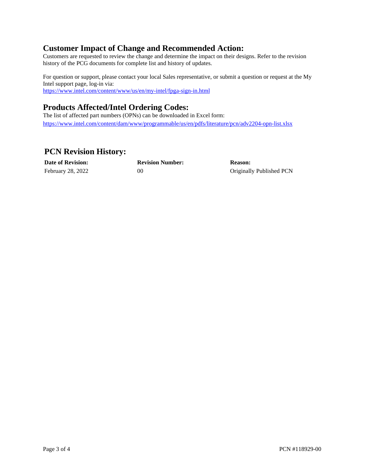## **Customer Impact of Change and Recommended Action:**

Customers are requested to review the change and determine the impact on their designs. Refer to the revision history of the PCG documents for complete list and history of updates.

For question or support, please contact your local Sales representative, or submit a question or request at the My Intel support page, log-in via: <https://www.intel.com/content/www/us/en/my-intel/fpga-sign-in.html>

# **Products Affected/Intel Ordering Codes:**

The list of affected part numbers (OPNs) can be downloaded in Excel form: <https://www.intel.com/content/dam/www/programmable/us/en/pdfs/literature/pcn/adv2204-opn-list.xlsx>

## **PCN Revision History:**

**Date of Revision: Revision Number: Reason:**

February 28, 2022 00 00 Originally Published PCN